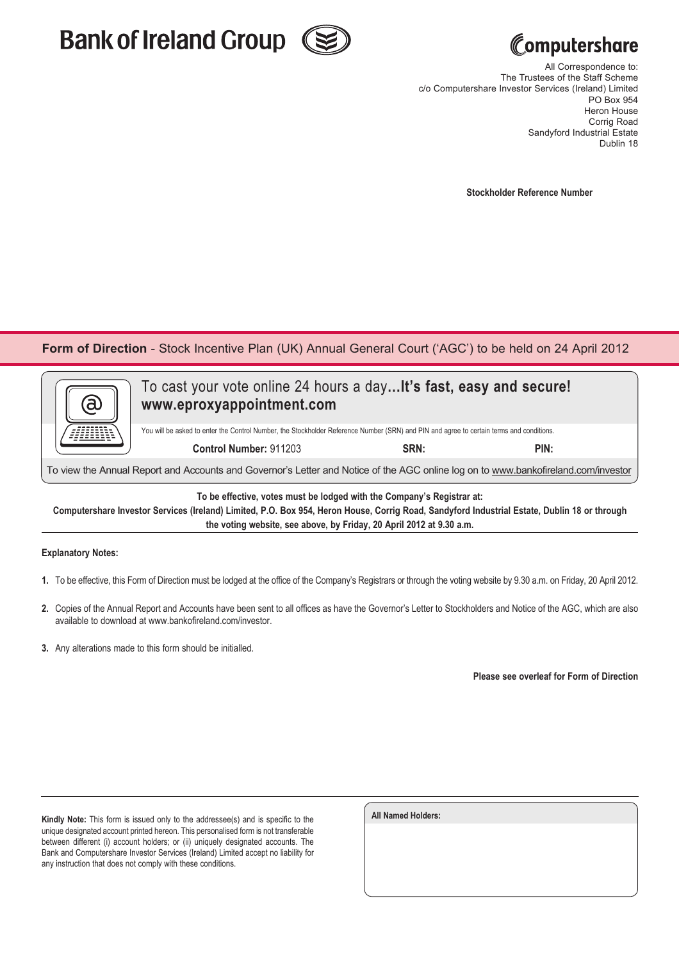



## **computershare**

All Correspondence to: The Trustees of the Staff Scheme c/o Computershare Investor Services (Ireland) Limited PO Box 954 Heron House Corrig Road Sandyford Industrial Estate Dublin 18

**Stockholder Reference Number**

**Form of Direction** - Stock Incentive Plan (UK) Annual General Court ('AGC') to be held on 24 April 2012

| <u>a</u>                                                                                                                                 | To cast your vote online 24 hours a day It's fast, easy and secure!<br>www.eproxyappointment.com |      |      |  |
|------------------------------------------------------------------------------------------------------------------------------------------|--------------------------------------------------------------------------------------------------|------|------|--|
| You will be asked to enter the Control Number, the Stockholder Reference Number (SRN) and PIN and agree to certain terms and conditions. |                                                                                                  |      |      |  |
|                                                                                                                                          | Control Number: 911203                                                                           | SRN: | PIN: |  |
|                                                                                                                                          |                                                                                                  |      |      |  |

To view the Annual Report and Accounts and Governor's Letter and Notice of the AGC online log on to www.bankofireland.com/investor

**To be effective, votes must be lodged with the Company's Registrar at:**

**Computershare Investor Services (Ireland) Limited, P.O. Box 954, Heron House, Corrig Road, Sandyford Industrial Estate, Dublin 18 or through the voting website, see above, by Friday, 20 April 2012 at 9.30 a.m.**

## **Explanatory Notes:**

- **1.** To be effective, this Form of Direction must be lodged at the office of the Company's Registrars or through the voting website by 9.30 a.m. on Friday, 20 April 2012.
- **2.** Copies of the Annual Report and Accounts have been sent to all offices as have the Governor's Letter to Stockholders and Notice of the AGC, which are also available to download at www.bankofireland.com/investor.
- **3.** Any alterations made to this form should be initialled.

**Please see overleaf for Form of Direction**

**Kindly Note:** This form is issued only to the addressee(s) and is specific to the unique designated account printed hereon. This personalised form is not transferable between different (i) account holders; or (ii) uniquely designated accounts. The Bank and Computershare Investor Services (Ireland) Limited accept no liability for any instruction that does not comply with these conditions.

| <b>All Named Holders:</b> |  |  |
|---------------------------|--|--|
|                           |  |  |
|                           |  |  |
|                           |  |  |
|                           |  |  |
|                           |  |  |
|                           |  |  |
|                           |  |  |
|                           |  |  |
|                           |  |  |
|                           |  |  |